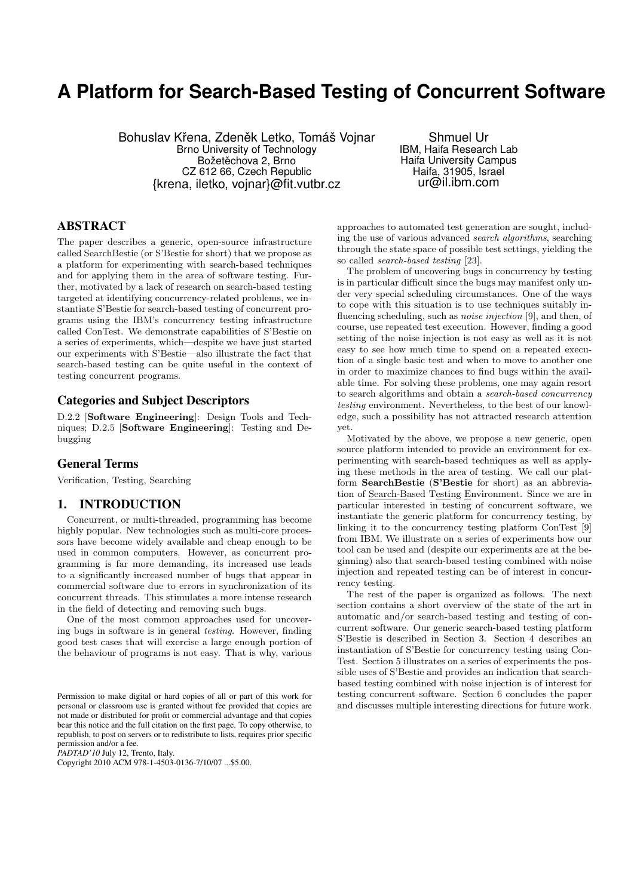# **A Platform for Search-Based Testing of Concurrent Software**

Bohuslav Křena, Zdeněk Letko, Tomáš Vojnar Brno University of Technology Božetěchova 2, Brno CZ 612 66, Czech Republic {krena, iletko, vojnar}@fit.vutbr.cz

Shmuel Ur IBM, Haifa Research Lab Haifa University Campus Haifa, 31905, Israel ur@il.ibm.com

# ABSTRACT

The paper describes a generic, open-source infrastructure called SearchBestie (or S'Bestie for short) that we propose as a platform for experimenting with search-based techniques and for applying them in the area of software testing. Further, motivated by a lack of research on search-based testing targeted at identifying concurrency-related problems, we instantiate S'Bestie for search-based testing of concurrent programs using the IBM's concurrency testing infrastructure called ConTest. We demonstrate capabilities of S'Bestie on a series of experiments, which—despite we have just started our experiments with S'Bestie—also illustrate the fact that search-based testing can be quite useful in the context of testing concurrent programs.

### Categories and Subject Descriptors

D.2.2 [**Software Engineering**]: Design Tools and Techniques; D.2.5 [**Software Engineering**]: Testing and Debugging

# General Terms

Verification, Testing, Searching

### 1. INTRODUCTION

Concurrent, or multi-threaded, programming has become highly popular. New technologies such as multi-core processors have become widely available and cheap enough to be used in common computers. However, as concurrent programming is far more demanding, its increased use leads to a significantly increased number of bugs that appear in commercial software due to errors in synchronization of its concurrent threads. This stimulates a more intense research in the field of detecting and removing such bugs.

One of the most common approaches used for uncovering bugs in software is in general *testing*. However, finding good test cases that will exercise a large enough portion of the behaviour of programs is not easy. That is why, various

*PADTAD'10* July 12, Trento, Italy.

Copyright 2010 ACM 978-1-4503-0136-7/10/07 ...\$5.00.

approaches to automated test generation are sought, including the use of various advanced *search algorithms*, searching through the state space of possible test settings, yielding the so called *search-based testing* [23].

The problem of uncovering bugs in concurrency by testing is in particular difficult since the bugs may manifest only under very special scheduling circumstances. One of the ways to cope with this situation is to use techniques suitably influencing scheduling, such as *noise injection* [9], and then, of course, use repeated test execution. However, finding a good setting of the noise injection is not easy as well as it is not easy to see how much time to spend on a repeated execution of a single basic test and when to move to another one in order to maximize chances to find bugs within the available time. For solving these problems, one may again resort to search algorithms and obtain a *search-based concurrency testing* environment. Nevertheless, to the best of our knowledge, such a possibility has not attracted research attention yet.

Motivated by the above, we propose a new generic, open source platform intended to provide an environment for experimenting with search-based techniques as well as applying these methods in the area of testing. We call our platform **SearchBestie** (**S'Bestie** for short) as an abbreviation of Search-Based Testing Environment. Since we are in particular interested in testing of concurrent software, we instantiate the generic platform for concurrency testing, by linking it to the concurrency testing platform ConTest [9] from IBM. We illustrate on a series of experiments how our tool can be used and (despite our experiments are at the beginning) also that search-based testing combined with noise injection and repeated testing can be of interest in concurrency testing.

The rest of the paper is organized as follows. The next section contains a short overview of the state of the art in automatic and/or search-based testing and testing of concurrent software. Our generic search-based testing platform S'Bestie is described in Section 3. Section 4 describes an instantiation of S'Bestie for concurrency testing using Con-Test. Section 5 illustrates on a series of experiments the possible uses of S'Bestie and provides an indication that searchbased testing combined with noise injection is of interest for testing concurrent software. Section 6 concludes the paper and discusses multiple interesting directions for future work.

Permission to make digital or hard copies of all or part of this work for personal or classroom use is granted without fee provided that copies are not made or distributed for profit or commercial advantage and that copies bear this notice and the full citation on the first page. To copy otherwise, to republish, to post on servers or to redistribute to lists, requires prior specific permission and/or a fee.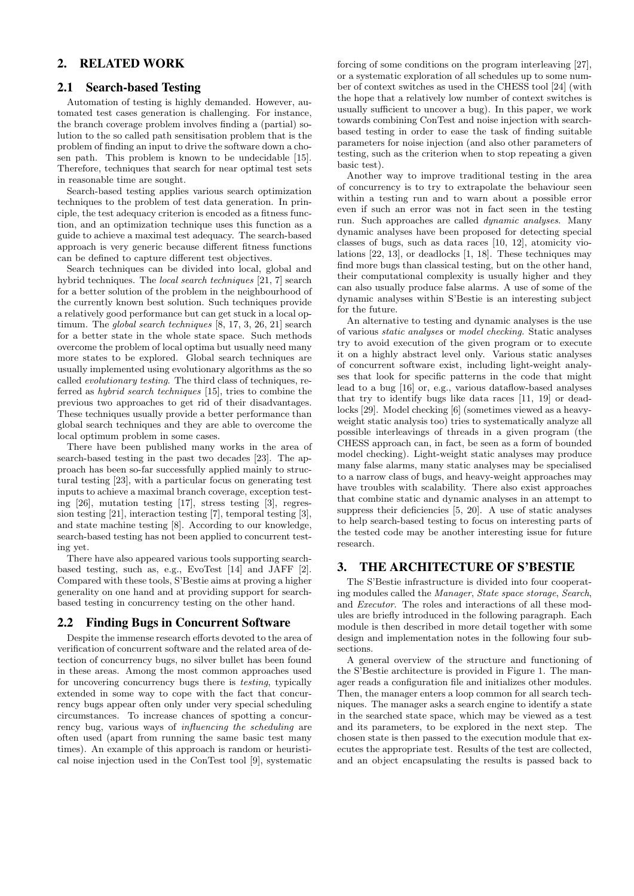# 2. RELATED WORK

### 2.1 Search-based Testing

Automation of testing is highly demanded. However, automated test cases generation is challenging. For instance, the branch coverage problem involves finding a (partial) solution to the so called path sensitisation problem that is the problem of finding an input to drive the software down a chosen path. This problem is known to be undecidable [15]. Therefore, techniques that search for near optimal test sets in reasonable time are sought.

Search-based testing applies various search optimization techniques to the problem of test data generation. In principle, the test adequacy criterion is encoded as a fitness function, and an optimization technique uses this function as a guide to achieve a maximal test adequacy. The search-based approach is very generic because different fitness functions can be defined to capture different test objectives.

Search techniques can be divided into local, global and hybrid techniques. The *local search techniques* [21, 7] search for a better solution of the problem in the neighbourhood of the currently known best solution. Such techniques provide a relatively good performance but can get stuck in a local optimum. The *global search techniques* [8, 17, 3, 26, 21] search for a better state in the whole state space. Such methods overcome the problem of local optima but usually need many more states to be explored. Global search techniques are usually implemented using evolutionary algorithms as the so called *evolutionary testing*. The third class of techniques, referred as *hybrid search techniques* [15], tries to combine the previous two approaches to get rid of their disadvantages. These techniques usually provide a better performance than global search techniques and they are able to overcome the local optimum problem in some cases.

There have been published many works in the area of search-based testing in the past two decades [23]. The approach has been so-far successfully applied mainly to structural testing [23], with a particular focus on generating test inputs to achieve a maximal branch coverage, exception testing [26], mutation testing [17], stress testing [3], regression testing [21], interaction testing [7], temporal testing [3], and state machine testing [8]. According to our knowledge, search-based testing has not been applied to concurrent testing yet.

There have also appeared various tools supporting searchbased testing, such as, e.g., EvoTest [14] and JAFF [2]. Compared with these tools, S'Bestie aims at proving a higher generality on one hand and at providing support for searchbased testing in concurrency testing on the other hand.

#### 2.2 Finding Bugs in Concurrent Software

Despite the immense research efforts devoted to the area of verification of concurrent software and the related area of detection of concurrency bugs, no silver bullet has been found in these areas. Among the most common approaches used for uncovering concurrency bugs there is *testing*, typically extended in some way to cope with the fact that concurrency bugs appear often only under very special scheduling circumstances. To increase chances of spotting a concurrency bug, various ways of *influencing the scheduling* are often used (apart from running the same basic test many times). An example of this approach is random or heuristical noise injection used in the ConTest tool [9], systematic

forcing of some conditions on the program interleaving [27], or a systematic exploration of all schedules up to some number of context switches as used in the CHESS tool [24] (with the hope that a relatively low number of context switches is usually sufficient to uncover a bug). In this paper, we work towards combining ConTest and noise injection with searchbased testing in order to ease the task of finding suitable parameters for noise injection (and also other parameters of testing, such as the criterion when to stop repeating a given basic test).

Another way to improve traditional testing in the area of concurrency is to try to extrapolate the behaviour seen within a testing run and to warn about a possible error even if such an error was not in fact seen in the testing run. Such approaches are called *dynamic analyses*. Many dynamic analyses have been proposed for detecting special classes of bugs, such as data races [10, 12], atomicity violations [22, 13], or deadlocks [1, 18]. These techniques may find more bugs than classical testing, but on the other hand, their computational complexity is usually higher and they can also usually produce false alarms. A use of some of the dynamic analyses within S'Bestie is an interesting subject for the future.

An alternative to testing and dynamic analyses is the use of various *static analyses* or *model checking*. Static analyses try to avoid execution of the given program or to execute it on a highly abstract level only. Various static analyses of concurrent software exist, including light-weight analyses that look for specific patterns in the code that might lead to a bug [16] or, e.g., various dataflow-based analyses that try to identify bugs like data races [11, 19] or deadlocks [29]. Model checking [6] (sometimes viewed as a heavyweight static analysis too) tries to systematically analyze all possible interleavings of threads in a given program (the CHESS approach can, in fact, be seen as a form of bounded model checking). Light-weight static analyses may produce many false alarms, many static analyses may be specialised to a narrow class of bugs, and heavy-weight approaches may have troubles with scalability. There also exist approaches that combine static and dynamic analyses in an attempt to suppress their deficiencies [5, 20]. A use of static analyses to help search-based testing to focus on interesting parts of the tested code may be another interesting issue for future research.

### 3. THE ARCHITECTURE OF S'BESTIE

The S'Bestie infrastructure is divided into four cooperating modules called the *Manager*, *State space storage*, *Search*, and *Executor*. The roles and interactions of all these modules are briefly introduced in the following paragraph. Each module is then described in more detail together with some design and implementation notes in the following four subsections.

A general overview of the structure and functioning of the S'Bestie architecture is provided in Figure 1. The manager reads a configuration file and initializes other modules. Then, the manager enters a loop common for all search techniques. The manager asks a search engine to identify a state in the searched state space, which may be viewed as a test and its parameters, to be explored in the next step. The chosen state is then passed to the execution module that executes the appropriate test. Results of the test are collected, and an object encapsulating the results is passed back to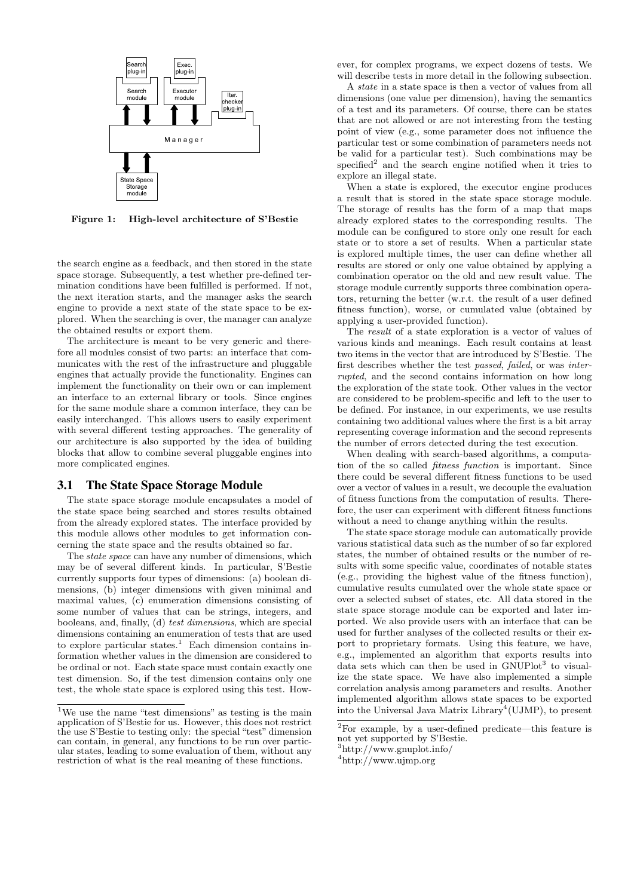

**Figure 1: High-level architecture of S'Bestie**

the search engine as a feedback, and then stored in the state space storage. Subsequently, a test whether pre-defined termination conditions have been fulfilled is performed. If not, the next iteration starts, and the manager asks the search engine to provide a next state of the state space to be explored. When the searching is over, the manager can analyze the obtained results or export them.

The architecture is meant to be very generic and therefore all modules consist of two parts: an interface that communicates with the rest of the infrastructure and pluggable engines that actually provide the functionality. Engines can implement the functionality on their own or can implement an interface to an external library or tools. Since engines for the same module share a common interface, they can be easily interchanged. This allows users to easily experiment with several different testing approaches. The generality of our architecture is also supported by the idea of building blocks that allow to combine several pluggable engines into more complicated engines.

### 3.1 The State Space Storage Module

The state space storage module encapsulates a model of the state space being searched and stores results obtained from the already explored states. The interface provided by this module allows other modules to get information concerning the state space and the results obtained so far.

The *state space* can have any number of dimensions, which may be of several different kinds. In particular, S'Bestie currently supports four types of dimensions: (a) boolean dimensions, (b) integer dimensions with given minimal and maximal values, (c) enumeration dimensions consisting of some number of values that can be strings, integers, and booleans, and, finally, (d) *test dimensions*, which are special dimensions containing an enumeration of tests that are used to explore particular states.<sup>1</sup> Each dimension contains information whether values in the dimension are considered to be ordinal or not. Each state space must contain exactly one test dimension. So, if the test dimension contains only one test, the whole state space is explored using this test. However, for complex programs, we expect dozens of tests. We will describe tests in more detail in the following subsection.

A *state* in a state space is then a vector of values from all dimensions (one value per dimension), having the semantics of a test and its parameters. Of course, there can be states that are not allowed or are not interesting from the testing point of view (e.g., some parameter does not influence the particular test or some combination of parameters needs not be valid for a particular test). Such combinations may be specified<sup>2</sup> and the search engine notified when it tries to explore an illegal state.

When a state is explored, the executor engine produces a result that is stored in the state space storage module. The storage of results has the form of a map that maps already explored states to the corresponding results. The module can be configured to store only one result for each state or to store a set of results. When a particular state is explored multiple times, the user can define whether all results are stored or only one value obtained by applying a combination operator on the old and new result value. The storage module currently supports three combination operators, returning the better (w.r.t. the result of a user defined fitness function), worse, or cumulated value (obtained by applying a user-provided function).

The *result* of a state exploration is a vector of values of various kinds and meanings. Each result contains at least two items in the vector that are introduced by S'Bestie. The first describes whether the test *passed*, *failed*, or was *interrupted*, and the second contains information on how long the exploration of the state took. Other values in the vector are considered to be problem-specific and left to the user to be defined. For instance, in our experiments, we use results containing two additional values where the first is a bit array representing coverage information and the second represents the number of errors detected during the test execution.

When dealing with search-based algorithms, a computation of the so called *fitness function* is important. Since there could be several different fitness functions to be used over a vector of values in a result, we decouple the evaluation of fitness functions from the computation of results. Therefore, the user can experiment with different fitness functions without a need to change anything within the results.

The state space storage module can automatically provide various statistical data such as the number of so far explored states, the number of obtained results or the number of results with some specific value, coordinates of notable states (e.g., providing the highest value of the fitness function), cumulative results cumulated over the whole state space or over a selected subset of states, etc. All data stored in the state space storage module can be exported and later imported. We also provide users with an interface that can be used for further analyses of the collected results or their export to proprietary formats. Using this feature, we have, e.g., implemented an algorithm that exports results into data sets which can then be used in  $GNUPlot<sup>3</sup>$  to visualize the state space. We have also implemented a simple correlation analysis among parameters and results. Another implemented algorithm allows state spaces to be exported into the Universal Java Matrix Library<sup>4</sup>(UJMP), to present

 $^1\rm{We}$  use the name "test dimensions" as testing is the main application of S'Bestie for us. However, this does not restrict the use S'Bestie to testing only: the special "test" dimension can contain, in general, any functions to be run over particular states, leading to some evaluation of them, without any restriction of what is the real meaning of these functions.

 $\sqrt[2]{2}$  For example, by a user-defined predicate—this feature is not yet supported by S'Bestie.

<sup>3</sup>http://www.gnuplot.info/

<sup>4</sup>http://www.ujmp.org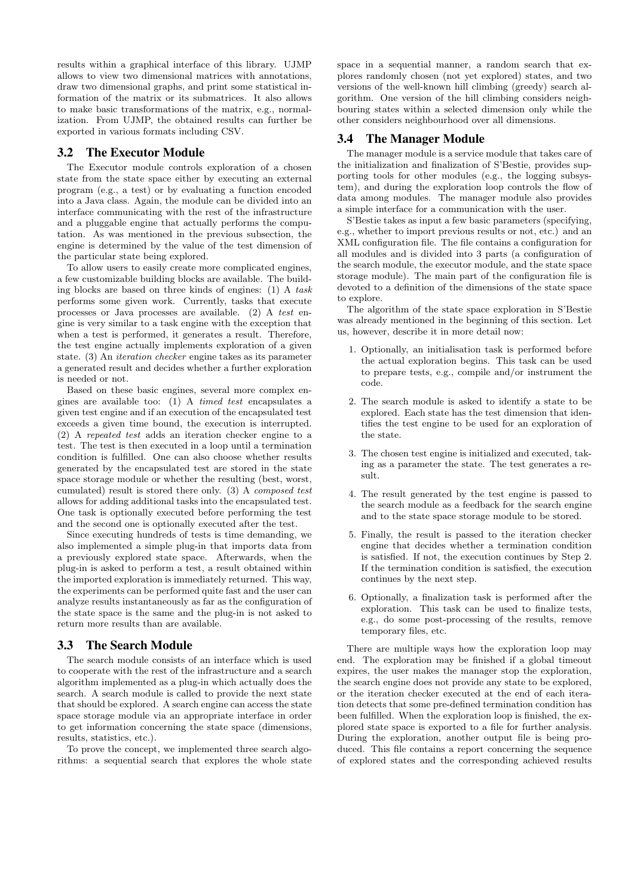results within a graphical interface of this library. UJMP allows to view two dimensional matrices with annotations, draw two dimensional graphs, and print some statistical information of the matrix or its submatrices. It also allows to make basic transformations of the matrix, e.g., normalization. From UJMP, the obtained results can further be exported in various formats including CSV.

### 3.2 The Executor Module

The Executor module controls exploration of a chosen state from the state space either by executing an external program (e.g., a test) or by evaluating a function encoded into a Java class. Again, the module can be divided into an interface communicating with the rest of the infrastructure and a pluggable engine that actually performs the computation. As was mentioned in the previous subsection, the engine is determined by the value of the test dimension of the particular state being explored.

To allow users to easily create more complicated engines, a few customizable building blocks are available. The building blocks are based on three kinds of engines: (1) A *task* performs some given work. Currently, tasks that execute processes or Java processes are available. (2) A *test* engine is very similar to a task engine with the exception that when a test is performed, it generates a result. Therefore, the test engine actually implements exploration of a given state. (3) An *iteration checker* engine takes as its parameter a generated result and decides whether a further exploration is needed or not.

Based on these basic engines, several more complex engines are available too: (1) A *timed test* encapsulates a given test engine and if an execution of the encapsulated test exceeds a given time bound, the execution is interrupted. (2) A *repeated test* adds an iteration checker engine to a test. The test is then executed in a loop until a termination condition is fulfilled. One can also choose whether results generated by the encapsulated test are stored in the state space storage module or whether the resulting (best, worst, cumulated) result is stored there only. (3) A *composed test* allows for adding additional tasks into the encapsulated test. One task is optionally executed before performing the test and the second one is optionally executed after the test.

Since executing hundreds of tests is time demanding, we also implemented a simple plug-in that imports data from a previously explored state space. Afterwards, when the plug-in is asked to perform a test, a result obtained within the imported exploration is immediately returned. This way, the experiments can be performed quite fast and the user can analyze results instantaneously as far as the configuration of the state space is the same and the plug-in is not asked to return more results than are available.

### 3.3 The Search Module

The search module consists of an interface which is used to cooperate with the rest of the infrastructure and a search algorithm implemented as a plug-in which actually does the search. A search module is called to provide the next state that should be explored. A search engine can access the state space storage module via an appropriate interface in order to get information concerning the state space (dimensions, results, statistics, etc.).

To prove the concept, we implemented three search algorithms: a sequential search that explores the whole state

space in a sequential manner, a random search that explores randomly chosen (not yet explored) states, and two versions of the well-known hill climbing (greedy) search algorithm. One version of the hill climbing considers neighbouring states within a selected dimension only while the other considers neighbourhood over all dimensions.

### 3.4 The Manager Module

The manager module is a service module that takes care of the initialization and finalization of S'Bestie, provides supporting tools for other modules (e.g., the logging subsystem), and during the exploration loop controls the flow of data among modules. The manager module also provides a simple interface for a communication with the user.

S'Bestie takes as input a few basic parameters (specifying, e.g., whether to import previous results or not, etc.) and an XML configuration file. The file contains a configuration for all modules and is divided into 3 parts (a configuration of the search module, the executor module, and the state space storage module). The main part of the configuration file is devoted to a definition of the dimensions of the state space to explore.

The algorithm of the state space exploration in S'Bestie was already mentioned in the beginning of this section. Let us, however, describe it in more detail now:

- 1. Optionally, an initialisation task is performed before the actual exploration begins. This task can be used to prepare tests, e.g., compile and/or instrument the code.
- 2. The search module is asked to identify a state to be explored. Each state has the test dimension that identifies the test engine to be used for an exploration of the state.
- 3. The chosen test engine is initialized and executed, taking as a parameter the state. The test generates a result.
- 4. The result generated by the test engine is passed to the search module as a feedback for the search engine and to the state space storage module to be stored.
- 5. Finally, the result is passed to the iteration checker engine that decides whether a termination condition is satisfied. If not, the execution continues by Step 2. If the termination condition is satisfied, the execution continues by the next step.
- 6. Optionally, a finalization task is performed after the exploration. This task can be used to finalize tests, e.g., do some post-processing of the results, remove temporary files, etc.

There are multiple ways how the exploration loop may end. The exploration may be finished if a global timeout expires, the user makes the manager stop the exploration, the search engine does not provide any state to be explored, or the iteration checker executed at the end of each iteration detects that some pre-defined termination condition has been fulfilled. When the exploration loop is finished, the explored state space is exported to a file for further analysis. During the exploration, another output file is being produced. This file contains a report concerning the sequence of explored states and the corresponding achieved results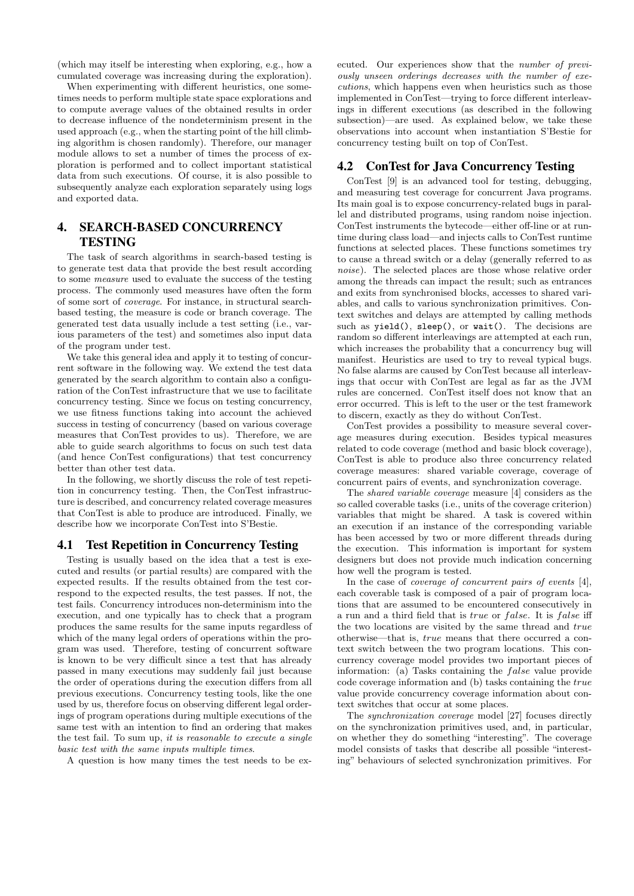(which may itself be interesting when exploring, e.g., how a cumulated coverage was increasing during the exploration).

When experimenting with different heuristics, one sometimes needs to perform multiple state space explorations and to compute average values of the obtained results in order to decrease influence of the nondeterminism present in the used approach (e.g., when the starting point of the hill climbing algorithm is chosen randomly). Therefore, our manager module allows to set a number of times the process of exploration is performed and to collect important statistical data from such executions. Of course, it is also possible to subsequently analyze each exploration separately using logs and exported data.

# 4. SEARCH-BASED CONCURRENCY **TESTING**

The task of search algorithms in search-based testing is to generate test data that provide the best result according to some *measure* used to evaluate the success of the testing process. The commonly used measures have often the form of some sort of *coverage*. For instance, in structural searchbased testing, the measure is code or branch coverage. The generated test data usually include a test setting (i.e., various parameters of the test) and sometimes also input data of the program under test.

We take this general idea and apply it to testing of concurrent software in the following way. We extend the test data generated by the search algorithm to contain also a configuration of the ConTest infrastructure that we use to facilitate concurrency testing. Since we focus on testing concurrency, we use fitness functions taking into account the achieved success in testing of concurrency (based on various coverage measures that ConTest provides to us). Therefore, we are able to guide search algorithms to focus on such test data (and hence ConTest configurations) that test concurrency better than other test data.

In the following, we shortly discuss the role of test repetition in concurrency testing. Then, the ConTest infrastructure is described, and concurrency related coverage measures that ConTest is able to produce are introduced. Finally, we describe how we incorporate ConTest into S'Bestie.

### 4.1 Test Repetition in Concurrency Testing

Testing is usually based on the idea that a test is executed and results (or partial results) are compared with the expected results. If the results obtained from the test correspond to the expected results, the test passes. If not, the test fails. Concurrency introduces non-determinism into the execution, and one typically has to check that a program produces the same results for the same inputs regardless of which of the many legal orders of operations within the program was used. Therefore, testing of concurrent software is known to be very difficult since a test that has already passed in many executions may suddenly fail just because the order of operations during the execution differs from all previous executions. Concurrency testing tools, like the one used by us, therefore focus on observing different legal orderings of program operations during multiple executions of the same test with an intention to find an ordering that makes the test fail. To sum up, *it is reasonable to execute a single basic test with the same inputs multiple times*.

A question is how many times the test needs to be ex-

ecuted. Our experiences show that the *number of previously unseen orderings decreases with the number of executions*, which happens even when heuristics such as those implemented in ConTest—trying to force different interleavings in different executions (as described in the following subsection)—are used. As explained below, we take these observations into account when instantiation S'Bestie for concurrency testing built on top of ConTest.

### 4.2 ConTest for Java Concurrency Testing

ConTest [9] is an advanced tool for testing, debugging, and measuring test coverage for concurrent Java programs. Its main goal is to expose concurrency-related bugs in parallel and distributed programs, using random noise injection. ConTest instruments the bytecode—either off-line or at runtime during class load—and injects calls to ConTest runtime functions at selected places. These functions sometimes try to cause a thread switch or a delay (generally referred to as *noise*). The selected places are those whose relative order among the threads can impact the result; such as entrances and exits from synchronised blocks, accesses to shared variables, and calls to various synchronization primitives. Context switches and delays are attempted by calling methods such as yield(), sleep(), or wait(). The decisions are random so different interleavings are attempted at each run, which increases the probability that a concurrency bug will manifest. Heuristics are used to try to reveal typical bugs. No false alarms are caused by ConTest because all interleavings that occur with ConTest are legal as far as the JVM rules are concerned. ConTest itself does not know that an error occurred. This is left to the user or the test framework to discern, exactly as they do without ConTest.

ConTest provides a possibility to measure several coverage measures during execution. Besides typical measures related to code coverage (method and basic block coverage), ConTest is able to produce also three concurrency related coverage measures: shared variable coverage, coverage of concurrent pairs of events, and synchronization coverage.

The *shared variable coverage* measure [4] considers as the so called coverable tasks (i.e., units of the coverage criterion) variables that might be shared. A task is covered within an execution if an instance of the corresponding variable has been accessed by two or more different threads during the execution. This information is important for system designers but does not provide much indication concerning how well the program is tested.

In the case of *coverage of concurrent pairs of events* [4], each coverable task is composed of a pair of program locations that are assumed to be encountered consecutively in a run and a third field that is *true* or *false*. It is *f alse* iff the two locations are visited by the same thread and *true* otherwise—that is, *true* means that there occurred a context switch between the two program locations. This concurrency coverage model provides two important pieces of information: (a) Tasks containing the *false* value provide code coverage information and (b) tasks containing the *true* value provide concurrency coverage information about context switches that occur at some places.

The *synchronization coverage* model [27] focuses directly on the synchronization primitives used, and, in particular, on whether they do something "interesting". The coverage model consists of tasks that describe all possible "interesting" behaviours of selected synchronization primitives. For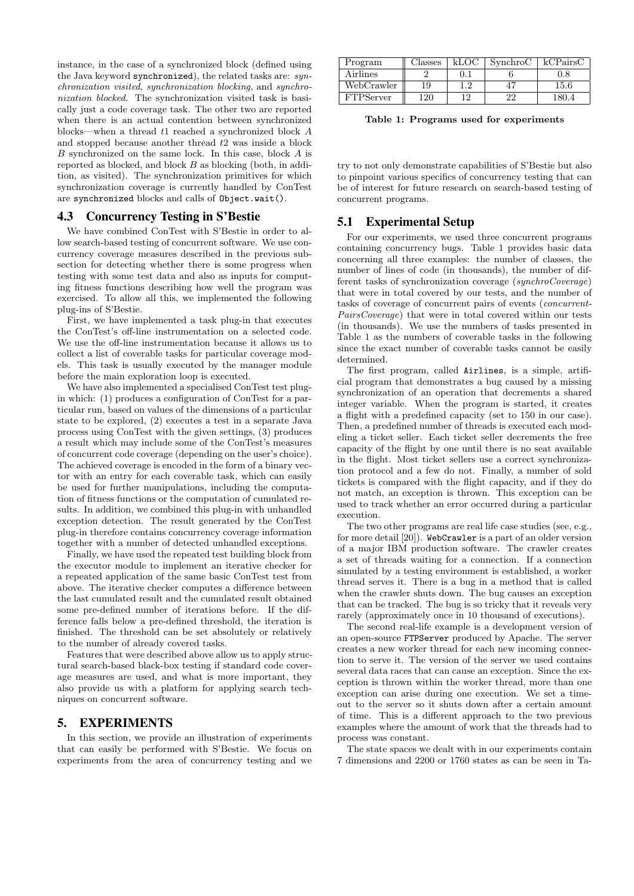instance, in the case of a synchronized block (defined using the Java keyword synchronized), the related tasks are: *synchronization visited*, *synchronization blocking*, and *synchronization blocked*. The synchronization visited task is basically just a code coverage task. The other two are reported when there is an actual contention between synchronized blocks—when a thread *t*1 reached a synchronized block *A* and stopped because another thread *t*2 was inside a block *B* synchronized on the same lock. In this case, block *A* is reported as blocked, and block *B* as blocking (both, in addition, as visited). The synchronization primitives for which synchronization coverage is currently handled by ConTest are synchronized blocks and calls of Object.wait().

### 4.3 Concurrency Testing in S'Bestie

We have combined ConTest with S'Bestie in order to allow search-based testing of concurrent software. We use concurrency coverage measures described in the previous subsection for detecting whether there is some progress when testing with some test data and also as inputs for computing fitness functions describing how well the program was exercised. To allow all this, we implemented the following plug-ins of S'Bestie.

First, we have implemented a task plug-in that executes the ConTest's off-line instrumentation on a selected code. We use the off-line instrumentation because it allows us to collect a list of coverable tasks for particular coverage models. This task is usually executed by the manager module before the main exploration loop is executed.

We have also implemented a specialised ConTest test plugin which: (1) produces a configuration of ConTest for a particular run, based on values of the dimensions of a particular state to be explored, (2) executes a test in a separate Java process using ConTest with the given settings, (3) produces a result which may include some of the ConTest's measures of concurrent code coverage (depending on the user's choice). The achieved coverage is encoded in the form of a binary vector with an entry for each coverable task, which can easily be used for further manipulations, including the computation of fitness functions or the computation of cumulated results. In addition, we combined this plug-in with unhandled exception detection. The result generated by the ConTest plug-in therefore contains concurrency coverage information together with a number of detected unhandled exceptions.

Finally, we have used the repeated test building block from the executor module to implement an iterative checker for a repeated application of the same basic ConTest test from above. The iterative checker computes a difference between the last cumulated result and the cumulated result obtained some pre-defined number of iterations before. If the difference falls below a pre-defined threshold, the iteration is finished. The threshold can be set absolutely or relatively to the number of already covered tasks.

Features that were described above allow us to apply structural search-based black-box testing if standard code coverage measures are used, and what is more important, they also provide us with a platform for applying search techniques on concurrent software.

### 5. EXPERIMENTS

In this section, we provide an illustration of experiments that can easily be performed with S'Bestie. We focus on experiments from the area of concurrency testing and we

| Program          | lasses | kLO€ | SynchroC | kCPairsC  |
|------------------|--------|------|----------|-----------|
| Airlines         |        |      |          | $\rm 0.8$ |
| WebCrawler       | 19     | 1.2  |          | $15.6\,$  |
| <b>FTPServer</b> | 20     | 1 ດ  |          |           |

**Table 1: Programs used for experiments**

try to not only demonstrate capabilities of S'Bestie but also to pinpoint various specifics of concurrency testing that can be of interest for future research on search-based testing of concurrent programs.

### 5.1 Experimental Setup

For our experiments, we used three concurrent programs containing concurrency bugs. Table 1 provides basic data concerning all three examples: the number of classes, the number of lines of code (in thousands), the number of different tasks of synchronization coverage (*synchroCoverage*) that were in total covered by our tests, and the number of tasks of coverage of concurrent pairs of events (*concurrent-PairsCoverage*) that were in total covered within our tests (in thousands). We use the numbers of tasks presented in Table 1 as the numbers of coverable tasks in the following since the exact number of coverable tasks cannot be easily determined.

The first program, called Airlines, is a simple, artificial program that demonstrates a bug caused by a missing synchronization of an operation that decrements a shared integer variable. When the program is started, it creates a flight with a predefined capacity (set to 150 in our case). Then, a predefined number of threads is executed each modeling a ticket seller. Each ticket seller decrements the free capacity of the flight by one until there is no seat available in the flight. Most ticket sellers use a correct synchronization protocol and a few do not. Finally, a number of sold tickets is compared with the flight capacity, and if they do not match, an exception is thrown. This exception can be used to track whether an error occurred during a particular execution.

The two other programs are real life case studies (see, e.g., for more detail [20]). WebCrawler is a part of an older version of a major IBM production software. The crawler creates a set of threads waiting for a connection. If a connection simulated by a testing environment is established, a worker thread serves it. There is a bug in a method that is called when the crawler shuts down. The bug causes an exception that can be tracked. The bug is so tricky that it reveals very rarely (approximately once in 10 thousand of executions).

The second real-life example is a development version of an open-source FTPServer produced by Apache. The server creates a new worker thread for each new incoming connection to serve it. The version of the server we used contains several data races that can cause an exception. Since the exception is thrown within the worker thread, more than one exception can arise during one execution. We set a timeout to the server so it shuts down after a certain amount of time. This is a different approach to the two previous examples where the amount of work that the threads had to process was constant.

The state spaces we dealt with in our experiments contain 7 dimensions and 2200 or 1760 states as can be seen in Ta-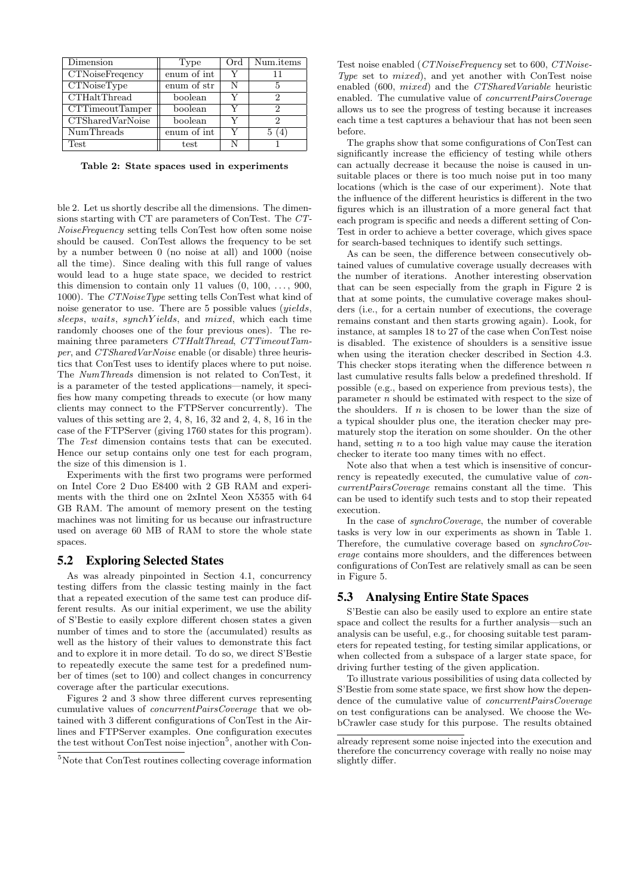| Dimension                       | Type        | Ord | Num.items |  |
|---------------------------------|-------------|-----|-----------|--|
| <b>CTNoiseFreqency</b>          | enum of int |     | 11        |  |
| $\overline{\text{CTNoiseType}}$ | enum of str | N   | 5         |  |
| <b>CTHaltThread</b>             | boolean     |     | 2         |  |
| CTTimeoutTamper                 | boolean     |     | 2         |  |
| CTSharedVarNoise                | boolean     |     | 2         |  |
| NumThreads                      | enum of int |     |           |  |
| Test                            | test        |     |           |  |

**Table 2: State spaces used in experiments**

ble 2. Let us shortly describe all the dimensions. The dimensions starting with CT are parameters of ConTest. The *CT-NoiseFrequency* setting tells ConTest how often some noise should be caused. ConTest allows the frequency to be set by a number between 0 (no noise at all) and 1000 (noise all the time). Since dealing with this full range of values would lead to a huge state space, we decided to restrict this dimension to contain only 11 values  $(0, 100, \ldots, 900,$ 1000). The *CTNoiseType* setting tells ConTest what kind of noise generator to use. There are 5 possible values (*yields*, *sleeps*, *waits*, *synchY ields*, and *mixed*, which each time randomly chooses one of the four previous ones). The remaining three parameters *CTHaltThread*, *CTTimeoutTamper*, and *CTSharedVarNoise* enable (or disable) three heuristics that ConTest uses to identify places where to put noise. The *NumThreads* dimension is not related to ConTest, it is a parameter of the tested applications—namely, it specifies how many competing threads to execute (or how many clients may connect to the FTPServer concurrently). The values of this setting are 2, 4, 8, 16, 32 and 2, 4, 8, 16 in the case of the FTPServer (giving 1760 states for this program). The *Test* dimension contains tests that can be executed. Hence our setup contains only one test for each program, the size of this dimension is 1.

Experiments with the first two programs were performed on Intel Core 2 Duo E8400 with 2 GB RAM and experiments with the third one on 2xIntel Xeon X5355 with 64 GB RAM. The amount of memory present on the testing machines was not limiting for us because our infrastructure used on average 60 MB of RAM to store the whole state spaces.

#### 5.2 Exploring Selected States

As was already pinpointed in Section 4.1, concurrency testing differs from the classic testing mainly in the fact that a repeated execution of the same test can produce different results. As our initial experiment, we use the ability of S'Bestie to easily explore different chosen states a given number of times and to store the (accumulated) results as well as the history of their values to demonstrate this fact and to explore it in more detail. To do so, we direct S'Bestie to repeatedly execute the same test for a predefined number of times (set to 100) and collect changes in concurrency coverage after the particular executions.

Figures 2 and 3 show three different curves representing cumulative values of *concurrentPairsCoverage* that we obtained with 3 different configurations of ConTest in the Airlines and FTPServer examples. One configuration executes the test without ConTest noise injection<sup>5</sup>, another with Con-

Test noise enabled (*CTNoiseFrequency* set to 600, *CTNoise-Type* set to *mixed*), and yet another with ConTest noise enabled (600, *mixed*) and the *CTSharedVariable* heuristic enabled. The cumulative value of *concurrentPairsCoverage* allows us to see the progress of testing because it increases each time a test captures a behaviour that has not been seen before.

The graphs show that some configurations of ConTest can significantly increase the efficiency of testing while others can actually decrease it because the noise is caused in unsuitable places or there is too much noise put in too many locations (which is the case of our experiment). Note that the influence of the different heuristics is different in the two figures which is an illustration of a more general fact that each program is specific and needs a different setting of Con-Test in order to achieve a better coverage, which gives space for search-based techniques to identify such settings.

As can be seen, the difference between consecutively obtained values of cumulative coverage usually decreases with the number of iterations. Another interesting observation that can be seen especially from the graph in Figure 2 is that at some points, the cumulative coverage makes shoulders (i.e., for a certain number of executions, the coverage remains constant and then starts growing again). Look, for instance, at samples 18 to 27 of the case when ConTest noise is disabled. The existence of shoulders is a sensitive issue when using the iteration checker described in Section 4.3. This checker stops iterating when the difference between *n* last cumulative results falls below a predefined threshold. If possible (e.g., based on experience from previous tests), the parameter *n* should be estimated with respect to the size of the shoulders. If *n* is chosen to be lower than the size of a typical shoulder plus one, the iteration checker may prematurely stop the iteration on some shoulder. On the other hand, setting *n* to a too high value may cause the iteration checker to iterate too many times with no effect.

Note also that when a test which is insensitive of concurrency is repeatedly executed, the cumulative value of *concurrentPairsCoverage* remains constant all the time. This can be used to identify such tests and to stop their repeated execution.

In the case of *synchroCoverage*, the number of coverable tasks is very low in our experiments as shown in Table 1. Therefore, the cumulative coverage based on *synchroCoverage* contains more shoulders, and the differences between configurations of ConTest are relatively small as can be seen in Figure 5.

#### 5.3 Analysing Entire State Spaces

S'Bestie can also be easily used to explore an entire state space and collect the results for a further analysis—such an analysis can be useful, e.g., for choosing suitable test parameters for repeated testing, for testing similar applications, or when collected from a subspace of a larger state space, for driving further testing of the given application.

To illustrate various possibilities of using data collected by S'Bestie from some state space, we first show how the dependence of the cumulative value of *concurrentPairsCoverage* on test configurations can be analysed. We choose the WebCrawler case study for this purpose. The results obtained

<sup>5</sup>Note that ConTest routines collecting coverage information

already represent some noise injected into the execution and therefore the concurrency coverage with really no noise may slightly differ.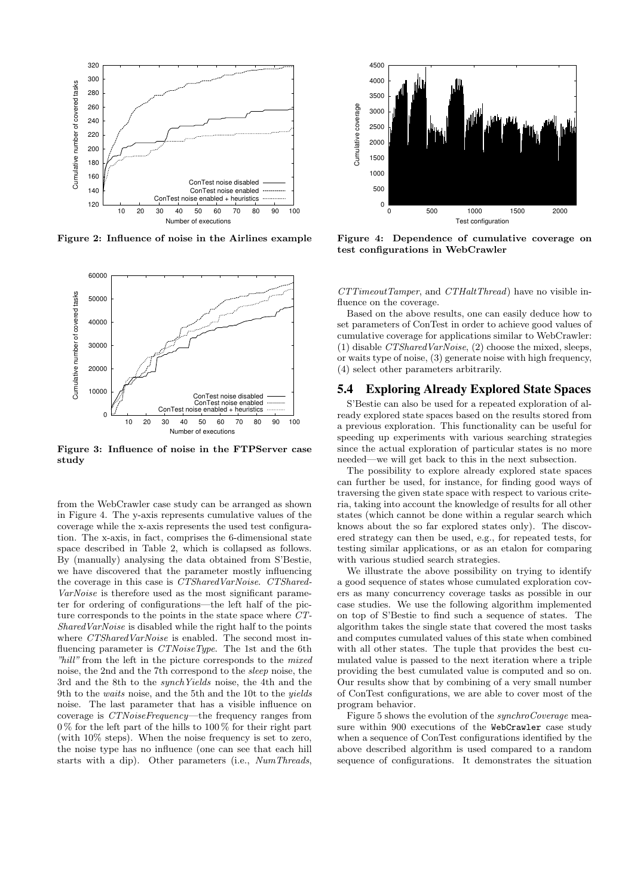

**Figure 2: Influence of noise in the Airlines example**



**Figure 3: Influence of noise in the FTPServer case study**

from the WebCrawler case study can be arranged as shown in Figure 4. The y-axis represents cumulative values of the coverage while the x-axis represents the used test configuration. The x-axis, in fact, comprises the 6-dimensional state space described in Table 2, which is collapsed as follows. By (manually) analysing the data obtained from S'Bestie, we have discovered that the parameter mostly influencing the coverage in this case is *CTSharedVarNoise*. *CTShared-VarNoise* is therefore used as the most significant parameter for ordering of configurations—the left half of the picture corresponds to the points in the state space where *CT-SharedVarNoise* is disabled while the right half to the points where *CTSharedVarNoise* is enabled. The second most influencing parameter is *CTNoiseType*. The 1st and the 6th *"hill"* from the left in the picture corresponds to the *mixed* noise, the 2nd and the 7th correspond to the *sleep* noise, the 3rd and the 8th to the *synchYields* noise, the 4th and the 9th to the *waits* noise, and the 5th and the 10t to the *yields* noise. The last parameter that has a visible influence on coverage is *CTNoiseFrequency*—the frequency ranges from  $0\%$  for the left part of the hills to  $100\%$  for their right part (with 10% steps). When the noise frequency is set to zero, the noise type has no influence (one can see that each hill starts with a dip). Other parameters (i.e., *NumThreads*,



**Figure 4: Dependence of cumulative coverage on test configurations in WebCrawler**

*CTTimeoutTamper*, and *CTHaltThread*) have no visible influence on the coverage.

Based on the above results, one can easily deduce how to set parameters of ConTest in order to achieve good values of cumulative coverage for applications similar to WebCrawler: (1) disable *CTSharedVarNoise*, (2) choose the mixed, sleeps, or waits type of noise, (3) generate noise with high frequency, (4) select other parameters arbitrarily.

### 5.4 Exploring Already Explored State Spaces

S'Bestie can also be used for a repeated exploration of already explored state spaces based on the results stored from a previous exploration. This functionality can be useful for speeding up experiments with various searching strategies since the actual exploration of particular states is no more needed—we will get back to this in the next subsection.

The possibility to explore already explored state spaces can further be used, for instance, for finding good ways of traversing the given state space with respect to various criteria, taking into account the knowledge of results for all other states (which cannot be done within a regular search which knows about the so far explored states only). The discovered strategy can then be used, e.g., for repeated tests, for testing similar applications, or as an etalon for comparing with various studied search strategies.

We illustrate the above possibility on trying to identify a good sequence of states whose cumulated exploration covers as many concurrency coverage tasks as possible in our case studies. We use the following algorithm implemented on top of S'Bestie to find such a sequence of states. The algorithm takes the single state that covered the most tasks and computes cumulated values of this state when combined with all other states. The tuple that provides the best cumulated value is passed to the next iteration where a triple providing the best cumulated value is computed and so on. Our results show that by combining of a very small number of ConTest configurations, we are able to cover most of the program behavior.

Figure 5 shows the evolution of the *synchroCoverage* measure within 900 executions of the WebCrawler case study when a sequence of ConTest configurations identified by the above described algorithm is used compared to a random sequence of configurations. It demonstrates the situation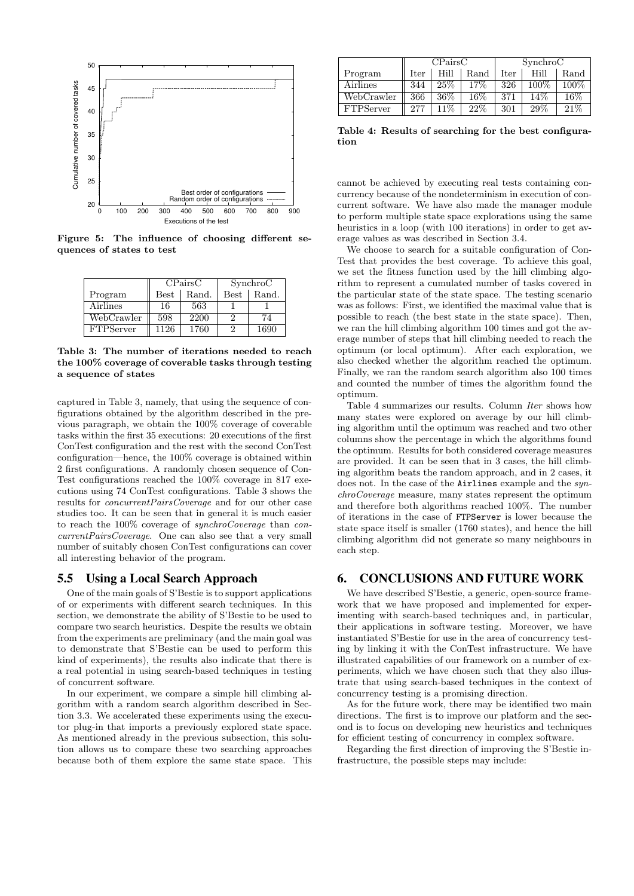

**Figure 5: The influence of choosing different sequences of states to test**

|                  | CPairsC     |       | SynchroC    |       |
|------------------|-------------|-------|-------------|-------|
| Program          | <b>Best</b> | Rand. | <b>Best</b> | Rand. |
| Airlines         | 16          | 563   |             |       |
| WebCrawler       | 598         | 2200  |             | 74    |
| <b>FTPServer</b> | 1126        | 1760  |             | 1690  |

**Table 3: The number of iterations needed to reach the 100% coverage of coverable tasks through testing a sequence of states**

captured in Table 3, namely, that using the sequence of configurations obtained by the algorithm described in the previous paragraph, we obtain the 100% coverage of coverable tasks within the first 35 executions: 20 executions of the first ConTest configuration and the rest with the second ConTest configuration—hence, the 100% coverage is obtained within 2 first configurations. A randomly chosen sequence of Con-Test configurations reached the 100% coverage in 817 executions using 74 ConTest configurations. Table 3 shows the results for *concurrentPairsCoverage* and for our other case studies too. It can be seen that in general it is much easier to reach the 100% coverage of *synchroCoverage* than *concurrentPairsCoverage*. One can also see that a very small number of suitably chosen ConTest configurations can cover all interesting behavior of the program.

#### 5.5 Using a Local Search Approach

One of the main goals of S'Bestie is to support applications of or experiments with different search techniques. In this section, we demonstrate the ability of S'Bestie to be used to compare two search heuristics. Despite the results we obtain from the experiments are preliminary (and the main goal was to demonstrate that S'Bestie can be used to perform this kind of experiments), the results also indicate that there is a real potential in using search-based techniques in testing of concurrent software.

In our experiment, we compare a simple hill climbing algorithm with a random search algorithm described in Section 3.3. We accelerated these experiments using the executor plug-in that imports a previously explored state space. As mentioned already in the previous subsection, this solution allows us to compare these two searching approaches because both of them explore the same state space. This

|                  | CPairsC     |        | SynchroC |      |       |       |
|------------------|-------------|--------|----------|------|-------|-------|
| Program          | <b>Iter</b> | Hill   | Rand     | Iter | Hill  | Rand  |
| Airlines         | 344         | 25%    | 17\%     | 326  | 100\% | 100\% |
| WebCrawler       | 366         | $36\%$ | 16%      | 371  | 14%   | 16\%  |
| <b>FTPServer</b> | 277         | $11\%$ | 22%      | 301  | 29%   | 21%   |

**Table 4: Results of searching for the best configuration**

cannot be achieved by executing real tests containing concurrency because of the nondeterminism in execution of concurrent software. We have also made the manager module to perform multiple state space explorations using the same heuristics in a loop (with 100 iterations) in order to get average values as was described in Section 3.4.

We choose to search for a suitable configuration of Con-Test that provides the best coverage. To achieve this goal, we set the fitness function used by the hill climbing algorithm to represent a cumulated number of tasks covered in the particular state of the state space. The testing scenario was as follows: First, we identified the maximal value that is possible to reach (the best state in the state space). Then, we ran the hill climbing algorithm 100 times and got the average number of steps that hill climbing needed to reach the optimum (or local optimum). After each exploration, we also checked whether the algorithm reached the optimum. Finally, we ran the random search algorithm also 100 times and counted the number of times the algorithm found the optimum.

Table 4 summarizes our results. Column *Iter* shows how many states were explored on average by our hill climbing algorithm until the optimum was reached and two other columns show the percentage in which the algorithms found the optimum. Results for both considered coverage measures are provided. It can be seen that in 3 cases, the hill climbing algorithm beats the random approach, and in 2 cases, it does not. In the case of the Airlines example and the *synchroCoverage* measure, many states represent the optimum and therefore both algorithms reached 100%. The number of iterations in the case of FTPServer is lower because the state space itself is smaller (1760 states), and hence the hill climbing algorithm did not generate so many neighbours in each step.

## 6. CONCLUSIONS AND FUTURE WORK

We have described S'Bestie, a generic, open-source framework that we have proposed and implemented for experimenting with search-based techniques and, in particular, their applications in software testing. Moreover, we have instantiated S'Bestie for use in the area of concurrency testing by linking it with the ConTest infrastructure. We have illustrated capabilities of our framework on a number of experiments, which we have chosen such that they also illustrate that using search-based techniques in the context of concurrency testing is a promising direction.

As for the future work, there may be identified two main directions. The first is to improve our platform and the second is to focus on developing new heuristics and techniques for efficient testing of concurrency in complex software.

Regarding the first direction of improving the S'Bestie infrastructure, the possible steps may include: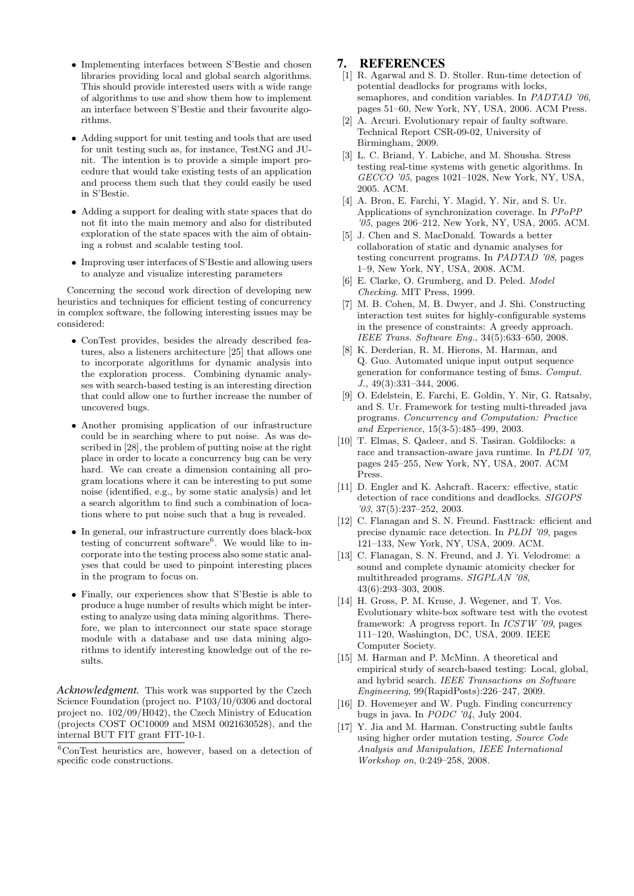- *•* Implementing interfaces between S'Bestie and chosen libraries providing local and global search algorithms. This should provide interested users with a wide range of algorithms to use and show them how to implement an interface between S'Bestie and their favourite algorithms.
- *•* Adding support for unit testing and tools that are used for unit testing such as, for instance, TestNG and JUnit. The intention is to provide a simple import procedure that would take existing tests of an application and process them such that they could easily be used in S'Bestie.
- *•* Adding a support for dealing with state spaces that do not fit into the main memory and also for distributed exploration of the state spaces with the aim of obtaining a robust and scalable testing tool.
- *•* Improving user interfaces of S'Bestie and allowing users to analyze and visualize interesting parameters

Concerning the second work direction of developing new heuristics and techniques for efficient testing of concurrency in complex software, the following interesting issues may be considered:

- *•* ConTest provides, besides the already described features, also a listeners architecture [25] that allows one to incorporate algorithms for dynamic analysis into the exploration process. Combining dynamic analyses with search-based testing is an interesting direction that could allow one to further increase the number of uncovered bugs.
- *•* Another promising application of our infrastructure could be in searching where to put noise. As was described in [28], the problem of putting noise at the right place in order to locate a concurrency bug can be very hard. We can create a dimension containing all program locations where it can be interesting to put some noise (identified, e.g., by some static analysis) and let a search algorithm to find such a combination of locations where to put noise such that a bug is revealed.
- *•* In general, our infrastructure currently does black-box testing of concurrent software<sup>6</sup>. We would like to incorporate into the testing process also some static analyses that could be used to pinpoint interesting places in the program to focus on.
- *•* Finally, our experiences show that S'Bestie is able to produce a huge number of results which might be interesting to analyze using data mining algorithms. Therefore, we plan to interconnect our state space storage module with a database and use data mining algorithms to identify interesting knowledge out of the results.

*Acknowledgment.* This work was supported by the Czech Science Foundation (project no. P103/10/0306 and doctoral project no. 102/09/H042), the Czech Ministry of Education (projects COST OC10009 and MSM 0021630528), and the internal BUT FIT grant FIT-10-1.

# 7. REFERENCES

- [1] R. Agarwal and S. D. Stoller. Run-time detection of potential deadlocks for programs with locks, semaphores, and condition variables. In *PADTAD '06*, pages 51–60, New York, NY, USA, 2006. ACM Press.
- [2] A. Arcuri. Evolutionary repair of faulty software. Technical Report CSR-09-02, University of Birmingham, 2009.
- [3] L. C. Briand, Y. Labiche, and M. Shousha. Stress testing real-time systems with genetic algorithms. In *GECCO '05*, pages 1021–1028, New York, NY, USA, 2005. ACM.
- [4] A. Bron, E. Farchi, Y. Magid, Y. Nir, and S. Ur. Applications of synchronization coverage. In *PPoPP '05*, pages 206–212, New York, NY, USA, 2005. ACM.
- [5] J. Chen and S. MacDonald. Towards a better collaboration of static and dynamic analyses for testing concurrent programs. In *PADTAD '08*, pages 1–9, New York, NY, USA, 2008. ACM.
- [6] E. Clarke, O. Grumberg, and D. Peled. *Model Checking*. MIT Press, 1999.
- [7] M. B. Cohen, M. B. Dwyer, and J. Shi. Constructing interaction test suites for highly-configurable systems in the presence of constraints: A greedy approach. *IEEE Trans. Software Eng.*, 34(5):633–650, 2008.
- [8] K. Derderian, R. M. Hierons, M. Harman, and Q. Guo. Automated unique input output sequence generation for conformance testing of fsms. *Comput. J.*, 49(3):331–344, 2006.
- [9] O. Edelstein, E. Farchi, E. Goldin, Y. Nir, G. Ratsaby, and S. Ur. Framework for testing multi-threaded java programs. *Concurrency and Computation: Practice and Experience*, 15(3-5):485–499, 2003.
- [10] T. Elmas, S. Qadeer, and S. Tasiran. Goldilocks: a race and transaction-aware java runtime. In *PLDI '07*, pages 245–255, New York, NY, USA, 2007. ACM Press.
- [11] D. Engler and K. Ashcraft. Racerx: effective, static detection of race conditions and deadlocks. *SIGOPS '03*, 37(5):237–252, 2003.
- [12] C. Flanagan and S. N. Freund. Fasttrack: efficient and precise dynamic race detection. In *PLDI '09*, pages 121–133, New York, NY, USA, 2009. ACM.
- [13] C. Flanagan, S. N. Freund, and J. Yi. Velodrome: a sound and complete dynamic atomicity checker for multithreaded programs. *SIGPLAN '08*, 43(6):293–303, 2008.
- [14] H. Gross, P. M. Kruse, J. Wegener, and T. Vos. Evolutionary white-box software test with the evotest framework: A progress report. In *ICSTW '09*, pages 111–120, Washington, DC, USA, 2009. IEEE Computer Society.
- [15] M. Harman and P. McMinn. A theoretical and empirical study of search-based testing: Local, global, and hybrid search. *IEEE Transactions on Software Engineering*, 99(RapidPosts):226–247, 2009.
- [16] D. Hovemeyer and W. Pugh. Finding concurrency bugs in java. In *PODC '04*, July 2004.
- [17] Y. Jia and M. Harman. Constructing subtle faults using higher order mutation testing. *Source Code Analysis and Manipulation, IEEE International Workshop on*, 0:249–258, 2008.

 ${}^{6}$ ConTest heuristics are, however, based on a detection of specific code constructions.